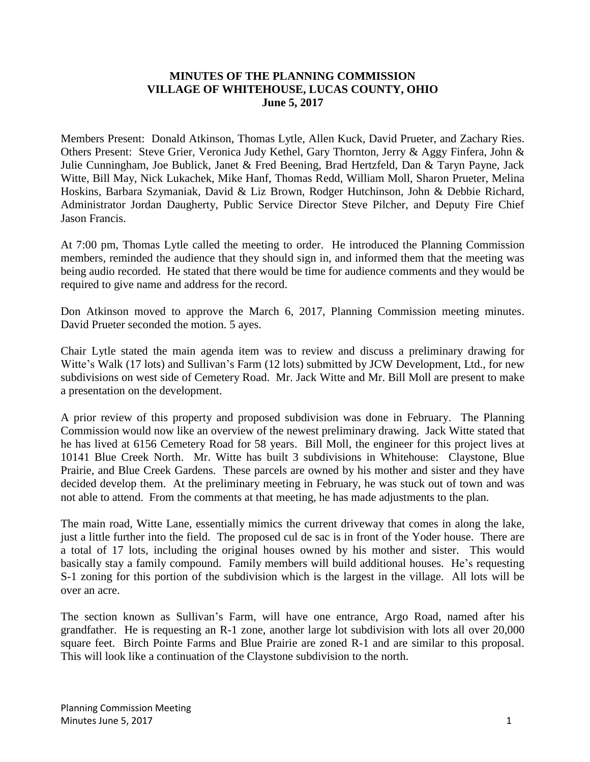## **MINUTES OF THE PLANNING COMMISSION VILLAGE OF WHITEHOUSE, LUCAS COUNTY, OHIO June 5, 2017**

Members Present: Donald Atkinson, Thomas Lytle, Allen Kuck, David Prueter, and Zachary Ries. Others Present: Steve Grier, Veronica Judy Kethel, Gary Thornton, Jerry & Aggy Finfera, John & Julie Cunningham, Joe Bublick, Janet & Fred Beening, Brad Hertzfeld, Dan & Taryn Payne, Jack Witte, Bill May, Nick Lukachek, Mike Hanf, Thomas Redd, William Moll, Sharon Prueter, Melina Hoskins, Barbara Szymaniak, David & Liz Brown, Rodger Hutchinson, John & Debbie Richard, Administrator Jordan Daugherty, Public Service Director Steve Pilcher, and Deputy Fire Chief Jason Francis.

At 7:00 pm, Thomas Lytle called the meeting to order. He introduced the Planning Commission members, reminded the audience that they should sign in, and informed them that the meeting was being audio recorded. He stated that there would be time for audience comments and they would be required to give name and address for the record.

Don Atkinson moved to approve the March 6, 2017, Planning Commission meeting minutes. David Prueter seconded the motion. 5 ayes.

Chair Lytle stated the main agenda item was to review and discuss a preliminary drawing for Witte's Walk (17 lots) and Sullivan's Farm (12 lots) submitted by JCW Development, Ltd., for new subdivisions on west side of Cemetery Road. Mr. Jack Witte and Mr. Bill Moll are present to make a presentation on the development.

A prior review of this property and proposed subdivision was done in February. The Planning Commission would now like an overview of the newest preliminary drawing. Jack Witte stated that he has lived at 6156 Cemetery Road for 58 years. Bill Moll, the engineer for this project lives at 10141 Blue Creek North. Mr. Witte has built 3 subdivisions in Whitehouse: Claystone, Blue Prairie, and Blue Creek Gardens. These parcels are owned by his mother and sister and they have decided develop them. At the preliminary meeting in February, he was stuck out of town and was not able to attend. From the comments at that meeting, he has made adjustments to the plan.

The main road, Witte Lane, essentially mimics the current driveway that comes in along the lake, just a little further into the field. The proposed cul de sac is in front of the Yoder house. There are a total of 17 lots, including the original houses owned by his mother and sister. This would basically stay a family compound. Family members will build additional houses. He's requesting S-1 zoning for this portion of the subdivision which is the largest in the village. All lots will be over an acre.

The section known as Sullivan's Farm, will have one entrance, Argo Road, named after his grandfather. He is requesting an R-1 zone, another large lot subdivision with lots all over 20,000 square feet. Birch Pointe Farms and Blue Prairie are zoned R-1 and are similar to this proposal. This will look like a continuation of the Claystone subdivision to the north.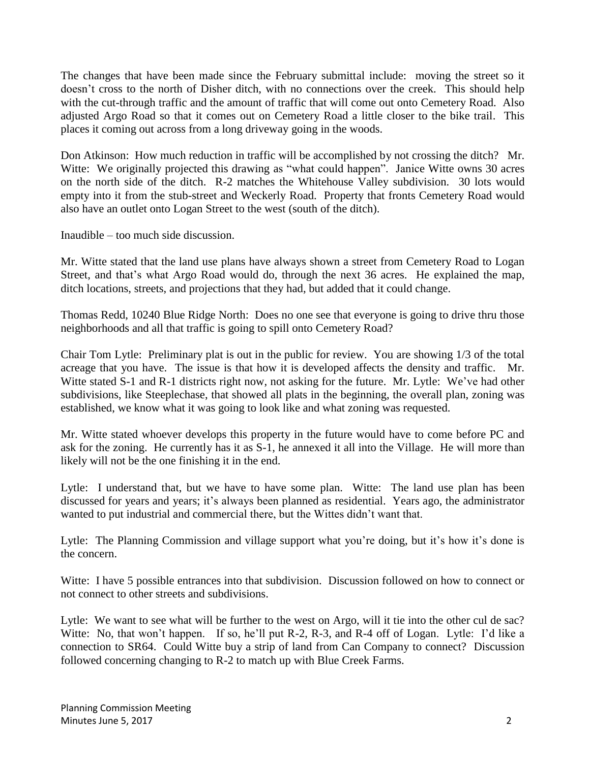The changes that have been made since the February submittal include: moving the street so it doesn't cross to the north of Disher ditch, with no connections over the creek. This should help with the cut-through traffic and the amount of traffic that will come out onto Cemetery Road. Also adjusted Argo Road so that it comes out on Cemetery Road a little closer to the bike trail. This places it coming out across from a long driveway going in the woods.

Don Atkinson: How much reduction in traffic will be accomplished by not crossing the ditch? Mr. Witte: We originally projected this drawing as "what could happen". Janice Witte owns 30 acres on the north side of the ditch. R-2 matches the Whitehouse Valley subdivision. 30 lots would empty into it from the stub-street and Weckerly Road. Property that fronts Cemetery Road would also have an outlet onto Logan Street to the west (south of the ditch).

Inaudible – too much side discussion.

Mr. Witte stated that the land use plans have always shown a street from Cemetery Road to Logan Street, and that's what Argo Road would do, through the next 36 acres. He explained the map, ditch locations, streets, and projections that they had, but added that it could change.

Thomas Redd, 10240 Blue Ridge North: Does no one see that everyone is going to drive thru those neighborhoods and all that traffic is going to spill onto Cemetery Road?

Chair Tom Lytle: Preliminary plat is out in the public for review. You are showing 1/3 of the total acreage that you have. The issue is that how it is developed affects the density and traffic. Mr. Witte stated S-1 and R-1 districts right now, not asking for the future. Mr. Lytle: We've had other subdivisions, like Steeplechase, that showed all plats in the beginning, the overall plan, zoning was established, we know what it was going to look like and what zoning was requested.

Mr. Witte stated whoever develops this property in the future would have to come before PC and ask for the zoning. He currently has it as S-1, he annexed it all into the Village. He will more than likely will not be the one finishing it in the end.

Lytle: I understand that, but we have to have some plan. Witte: The land use plan has been discussed for years and years; it's always been planned as residential. Years ago, the administrator wanted to put industrial and commercial there, but the Wittes didn't want that.

Lytle: The Planning Commission and village support what you're doing, but it's how it's done is the concern.

Witte: I have 5 possible entrances into that subdivision. Discussion followed on how to connect or not connect to other streets and subdivisions.

Lytle: We want to see what will be further to the west on Argo, will it tie into the other cul de sac? Witte: No, that won't happen. If so, he'll put R-2, R-3, and R-4 off of Logan. Lytle: I'd like a connection to SR64. Could Witte buy a strip of land from Can Company to connect? Discussion followed concerning changing to R-2 to match up with Blue Creek Farms.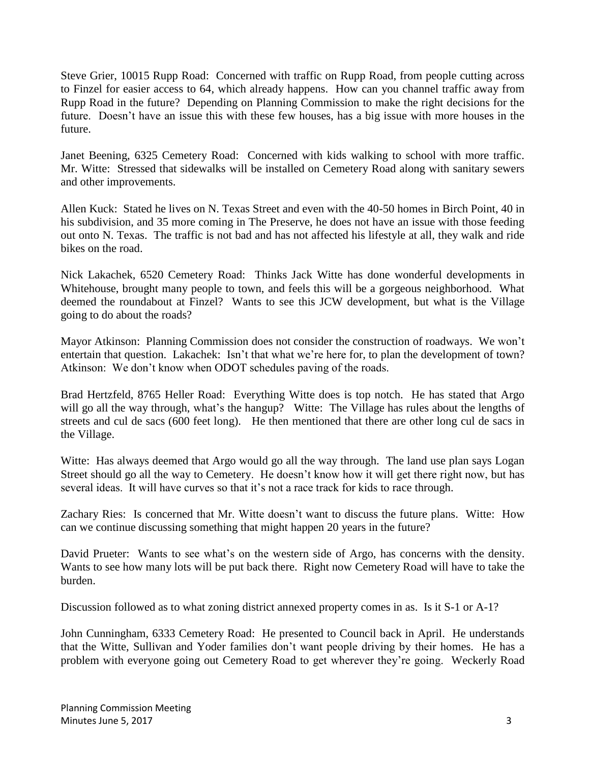Steve Grier, 10015 Rupp Road: Concerned with traffic on Rupp Road, from people cutting across to Finzel for easier access to 64, which already happens. How can you channel traffic away from Rupp Road in the future? Depending on Planning Commission to make the right decisions for the future. Doesn't have an issue this with these few houses, has a big issue with more houses in the future.

Janet Beening, 6325 Cemetery Road: Concerned with kids walking to school with more traffic. Mr. Witte: Stressed that sidewalks will be installed on Cemetery Road along with sanitary sewers and other improvements.

Allen Kuck: Stated he lives on N. Texas Street and even with the 40-50 homes in Birch Point, 40 in his subdivision, and 35 more coming in The Preserve, he does not have an issue with those feeding out onto N. Texas. The traffic is not bad and has not affected his lifestyle at all, they walk and ride bikes on the road.

Nick Lakachek, 6520 Cemetery Road: Thinks Jack Witte has done wonderful developments in Whitehouse, brought many people to town, and feels this will be a gorgeous neighborhood. What deemed the roundabout at Finzel? Wants to see this JCW development, but what is the Village going to do about the roads?

Mayor Atkinson: Planning Commission does not consider the construction of roadways. We won't entertain that question. Lakachek: Isn't that what we're here for, to plan the development of town? Atkinson: We don't know when ODOT schedules paving of the roads.

Brad Hertzfeld, 8765 Heller Road: Everything Witte does is top notch. He has stated that Argo will go all the way through, what's the hangup? Witte: The Village has rules about the lengths of streets and cul de sacs (600 feet long). He then mentioned that there are other long cul de sacs in the Village.

Witte: Has always deemed that Argo would go all the way through. The land use plan says Logan Street should go all the way to Cemetery. He doesn't know how it will get there right now, but has several ideas. It will have curves so that it's not a race track for kids to race through.

Zachary Ries: Is concerned that Mr. Witte doesn't want to discuss the future plans. Witte: How can we continue discussing something that might happen 20 years in the future?

David Prueter: Wants to see what's on the western side of Argo, has concerns with the density. Wants to see how many lots will be put back there. Right now Cemetery Road will have to take the burden.

Discussion followed as to what zoning district annexed property comes in as. Is it S-1 or A-1?

John Cunningham, 6333 Cemetery Road: He presented to Council back in April. He understands that the Witte, Sullivan and Yoder families don't want people driving by their homes. He has a problem with everyone going out Cemetery Road to get wherever they're going. Weckerly Road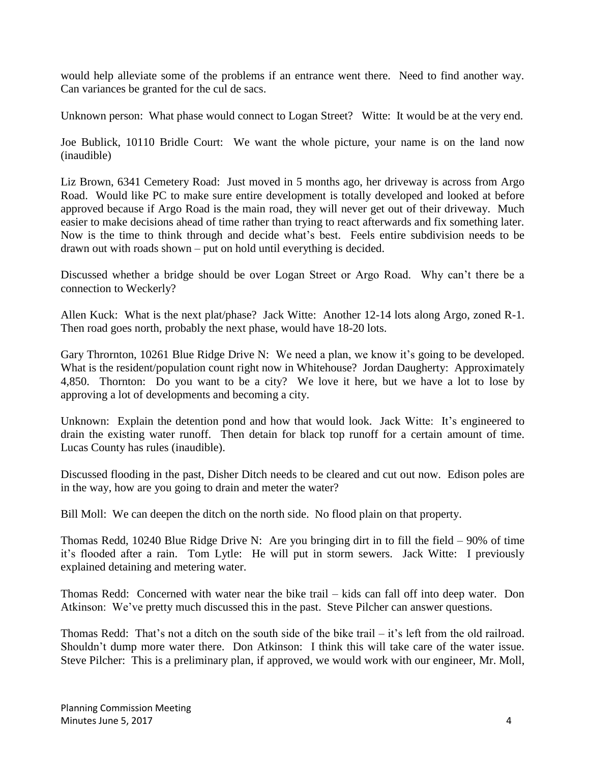would help alleviate some of the problems if an entrance went there. Need to find another way. Can variances be granted for the cul de sacs.

Unknown person: What phase would connect to Logan Street? Witte: It would be at the very end.

Joe Bublick, 10110 Bridle Court: We want the whole picture, your name is on the land now (inaudible)

Liz Brown, 6341 Cemetery Road: Just moved in 5 months ago, her driveway is across from Argo Road. Would like PC to make sure entire development is totally developed and looked at before approved because if Argo Road is the main road, they will never get out of their driveway. Much easier to make decisions ahead of time rather than trying to react afterwards and fix something later. Now is the time to think through and decide what's best. Feels entire subdivision needs to be drawn out with roads shown – put on hold until everything is decided.

Discussed whether a bridge should be over Logan Street or Argo Road. Why can't there be a connection to Weckerly?

Allen Kuck: What is the next plat/phase? Jack Witte: Another 12-14 lots along Argo, zoned R-1. Then road goes north, probably the next phase, would have 18-20 lots.

Gary Thrornton, 10261 Blue Ridge Drive N: We need a plan, we know it's going to be developed. What is the resident/population count right now in Whitehouse? Jordan Daugherty: Approximately 4,850. Thornton: Do you want to be a city? We love it here, but we have a lot to lose by approving a lot of developments and becoming a city.

Unknown: Explain the detention pond and how that would look. Jack Witte: It's engineered to drain the existing water runoff. Then detain for black top runoff for a certain amount of time. Lucas County has rules (inaudible).

Discussed flooding in the past, Disher Ditch needs to be cleared and cut out now. Edison poles are in the way, how are you going to drain and meter the water?

Bill Moll: We can deepen the ditch on the north side. No flood plain on that property.

Thomas Redd, 10240 Blue Ridge Drive N: Are you bringing dirt in to fill the field – 90% of time it's flooded after a rain. Tom Lytle: He will put in storm sewers. Jack Witte: I previously explained detaining and metering water.

Thomas Redd: Concerned with water near the bike trail – kids can fall off into deep water. Don Atkinson: We've pretty much discussed this in the past. Steve Pilcher can answer questions.

Thomas Redd: That's not a ditch on the south side of the bike trail – it's left from the old railroad. Shouldn't dump more water there. Don Atkinson: I think this will take care of the water issue. Steve Pilcher: This is a preliminary plan, if approved, we would work with our engineer, Mr. Moll,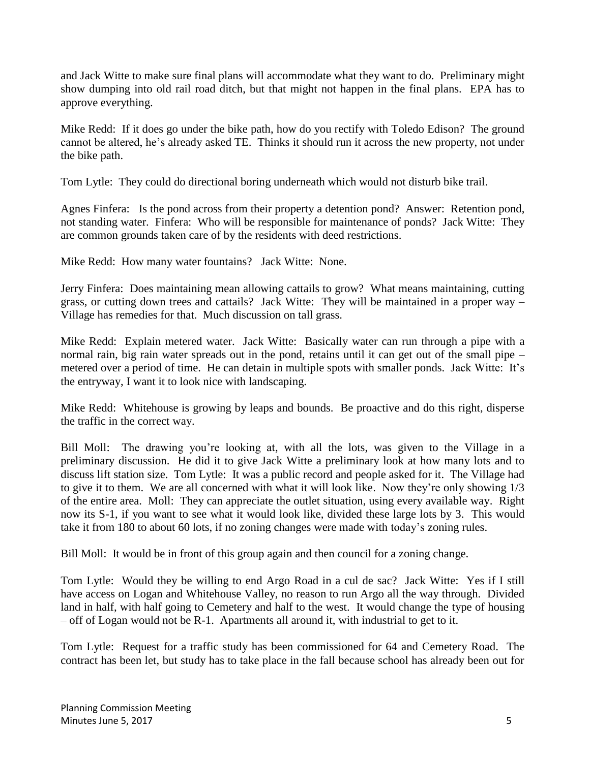and Jack Witte to make sure final plans will accommodate what they want to do. Preliminary might show dumping into old rail road ditch, but that might not happen in the final plans. EPA has to approve everything.

Mike Redd: If it does go under the bike path, how do you rectify with Toledo Edison? The ground cannot be altered, he's already asked TE. Thinks it should run it across the new property, not under the bike path.

Tom Lytle: They could do directional boring underneath which would not disturb bike trail.

Agnes Finfera: Is the pond across from their property a detention pond? Answer: Retention pond, not standing water. Finfera: Who will be responsible for maintenance of ponds? Jack Witte: They are common grounds taken care of by the residents with deed restrictions.

Mike Redd: How many water fountains? Jack Witte: None.

Jerry Finfera: Does maintaining mean allowing cattails to grow? What means maintaining, cutting grass, or cutting down trees and cattails? Jack Witte: They will be maintained in a proper way – Village has remedies for that. Much discussion on tall grass.

Mike Redd: Explain metered water. Jack Witte: Basically water can run through a pipe with a normal rain, big rain water spreads out in the pond, retains until it can get out of the small pipe – metered over a period of time. He can detain in multiple spots with smaller ponds. Jack Witte: It's the entryway, I want it to look nice with landscaping.

Mike Redd: Whitehouse is growing by leaps and bounds. Be proactive and do this right, disperse the traffic in the correct way.

Bill Moll: The drawing you're looking at, with all the lots, was given to the Village in a preliminary discussion. He did it to give Jack Witte a preliminary look at how many lots and to discuss lift station size. Tom Lytle: It was a public record and people asked for it. The Village had to give it to them. We are all concerned with what it will look like. Now they're only showing 1/3 of the entire area. Moll: They can appreciate the outlet situation, using every available way. Right now its S-1, if you want to see what it would look like, divided these large lots by 3. This would take it from 180 to about 60 lots, if no zoning changes were made with today's zoning rules.

Bill Moll: It would be in front of this group again and then council for a zoning change.

Tom Lytle: Would they be willing to end Argo Road in a cul de sac? Jack Witte: Yes if I still have access on Logan and Whitehouse Valley, no reason to run Argo all the way through. Divided land in half, with half going to Cemetery and half to the west. It would change the type of housing – off of Logan would not be R-1. Apartments all around it, with industrial to get to it.

Tom Lytle: Request for a traffic study has been commissioned for 64 and Cemetery Road. The contract has been let, but study has to take place in the fall because school has already been out for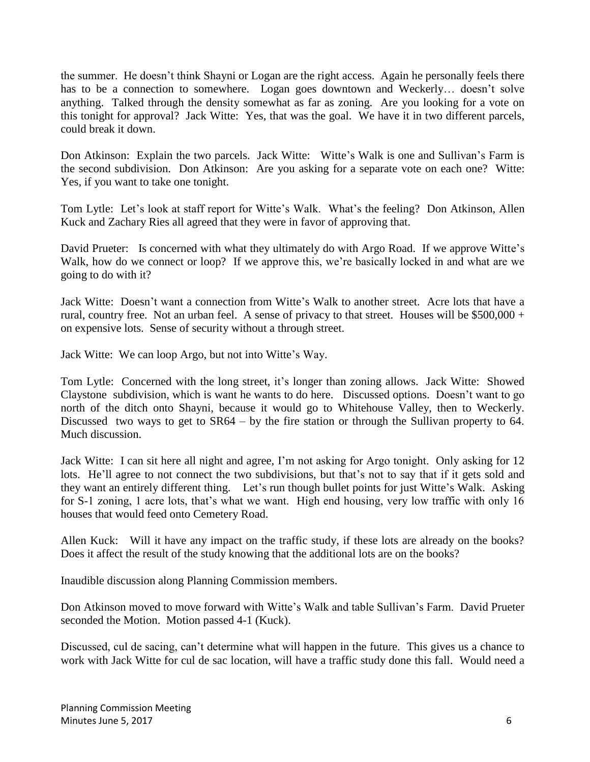the summer. He doesn't think Shayni or Logan are the right access. Again he personally feels there has to be a connection to somewhere. Logan goes downtown and Weckerly… doesn't solve anything. Talked through the density somewhat as far as zoning. Are you looking for a vote on this tonight for approval? Jack Witte: Yes, that was the goal. We have it in two different parcels, could break it down.

Don Atkinson: Explain the two parcels. Jack Witte: Witte's Walk is one and Sullivan's Farm is the second subdivision. Don Atkinson: Are you asking for a separate vote on each one? Witte: Yes, if you want to take one tonight.

Tom Lytle: Let's look at staff report for Witte's Walk. What's the feeling? Don Atkinson, Allen Kuck and Zachary Ries all agreed that they were in favor of approving that.

David Prueter: Is concerned with what they ultimately do with Argo Road. If we approve Witte's Walk, how do we connect or loop? If we approve this, we're basically locked in and what are we going to do with it?

Jack Witte: Doesn't want a connection from Witte's Walk to another street. Acre lots that have a rural, country free. Not an urban feel. A sense of privacy to that street. Houses will be  $$500,000 +$ on expensive lots. Sense of security without a through street.

Jack Witte: We can loop Argo, but not into Witte's Way.

Tom Lytle: Concerned with the long street, it's longer than zoning allows. Jack Witte: Showed Claystone subdivision, which is want he wants to do here. Discussed options. Doesn't want to go north of the ditch onto Shayni, because it would go to Whitehouse Valley, then to Weckerly. Discussed two ways to get to SR64 – by the fire station or through the Sullivan property to 64. Much discussion.

Jack Witte: I can sit here all night and agree, I'm not asking for Argo tonight. Only asking for 12 lots. He'll agree to not connect the two subdivisions, but that's not to say that if it gets sold and they want an entirely different thing. Let's run though bullet points for just Witte's Walk. Asking for S-1 zoning, 1 acre lots, that's what we want. High end housing, very low traffic with only 16 houses that would feed onto Cemetery Road.

Allen Kuck: Will it have any impact on the traffic study, if these lots are already on the books? Does it affect the result of the study knowing that the additional lots are on the books?

Inaudible discussion along Planning Commission members.

Don Atkinson moved to move forward with Witte's Walk and table Sullivan's Farm. David Prueter seconded the Motion. Motion passed 4-1 (Kuck).

Discussed, cul de sacing, can't determine what will happen in the future. This gives us a chance to work with Jack Witte for cul de sac location, will have a traffic study done this fall. Would need a